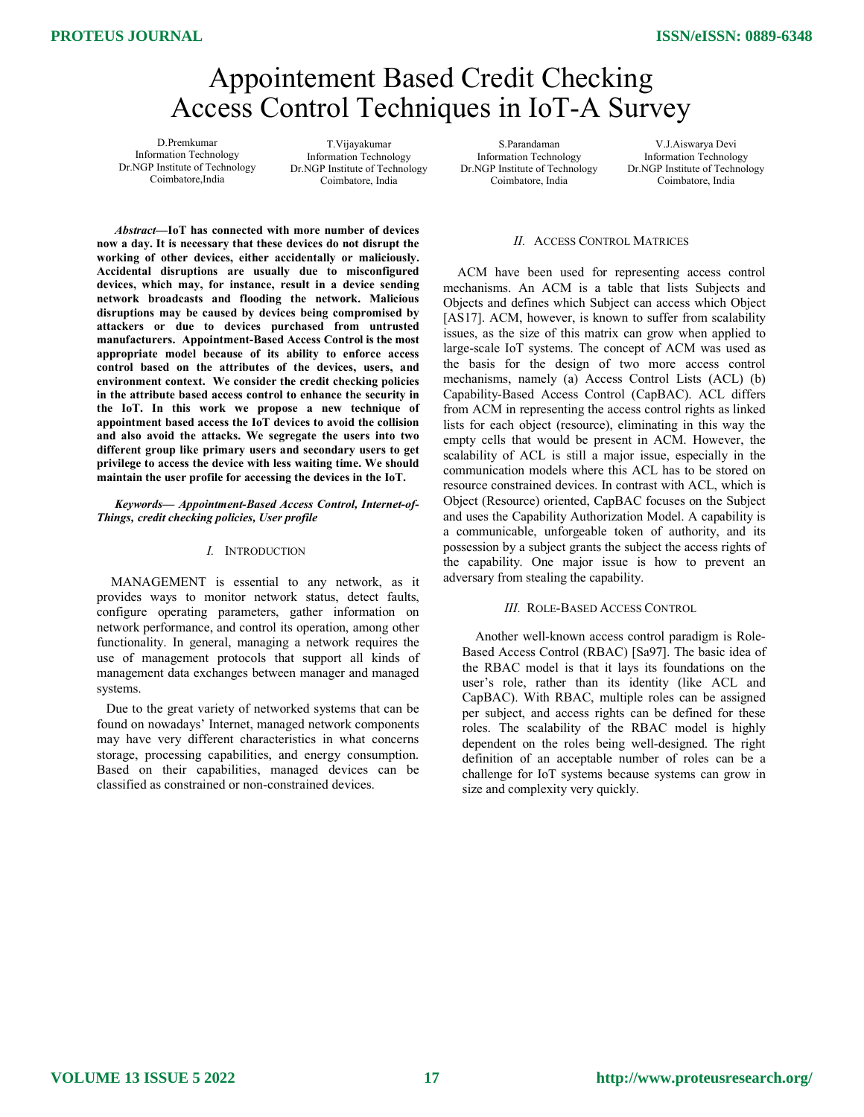# Appointement Based Credit Checking Access Control Techniques in IoT-A Survey

D.Premkumar Information Technology Dr.NGP Institute of Technology Coimbatore,India

T.Vijayakumar Information Technology Dr.NGP Institute of Technology Coimbatore, India

S.Parandaman Information Technology Dr.NGP Institute of Technology Coimbatore, India

V.J.Aiswarya Devi Information Technology Dr.NGP Institute of Technology Coimbatore, India

#### II. ACCESS CONTROL MATRICES

 ACM have been used for representing access control mechanisms. An ACM is a table that lists Subjects and Objects and defines which Subject can access which Object [AS17]. ACM, however, is known to suffer from scalability issues, as the size of this matrix can grow when applied to large-scale IoT systems. The concept of ACM was used as the basis for the design of two more access control mechanisms, namely (a) Access Control Lists (ACL) (b) Capability-Based Access Control (CapBAC). ACL differs from ACM in representing the access control rights as linked lists for each object (resource), eliminating in this way the empty cells that would be present in ACM. However, the scalability of ACL is still a major issue, especially in the communication models where this ACL has to be stored on resource constrained devices. In contrast with ACL, which is Object (Resource) oriented, CapBAC focuses on the Subject and uses the Capability Authorization Model. A capability is a communicable, unforgeable token of authority, and its possession by a subject grants the subject the access rights of the capability. One major issue is how to prevent an adversary from stealing the capability.

#### III. ROLE-BASED ACCESS CONTROL

 Another well-known access control paradigm is Role-Based Access Control (RBAC) [Sa97]. The basic idea of the RBAC model is that it lays its foundations on the user's role, rather than its identity (like ACL and CapBAC). With RBAC, multiple roles can be assigned per subject, and access rights can be defined for these roles. The scalability of the RBAC model is highly dependent on the roles being well-designed. The right definition of an acceptable number of roles can be a challenge for IoT systems because systems can grow in size and complexity very quickly.

Abstract—IoT has connected with more number of devices now a day. It is necessary that these devices do not disrupt the working of other devices, either accidentally or maliciously. Accidental disruptions are usually due to misconfigured devices, which may, for instance, result in a device sending network broadcasts and flooding the network. Malicious disruptions may be caused by devices being compromised by attackers or due to devices purchased from untrusted manufacturers. Appointment-Based Access Control is the most appropriate model because of its ability to enforce access control based on the attributes of the devices, users, and environment context. We consider the credit checking policies in the attribute based access control to enhance the security in the IoT. In this work we propose a new technique of appointment based access the IoT devices to avoid the collision and also avoid the attacks. We segregate the users into two different group like primary users and secondary users to get privilege to access the device with less waiting time. We should maintain the user profile for accessing the devices in the IoT.

Keywords— Appointment-Based Access Control, Internet-of-Things, credit checking policies, User profile

### I. INTRODUCTION

 MANAGEMENT is essential to any network, as it provides ways to monitor network status, detect faults, configure operating parameters, gather information on network performance, and control its operation, among other functionality. In general, managing a network requires the use of management protocols that support all kinds of management data exchanges between manager and managed systems.

 Due to the great variety of networked systems that can be found on nowadays' Internet, managed network components may have very different characteristics in what concerns storage, processing capabilities, and energy consumption. Based on their capabilities, managed devices can be classified as constrained or non-constrained devices.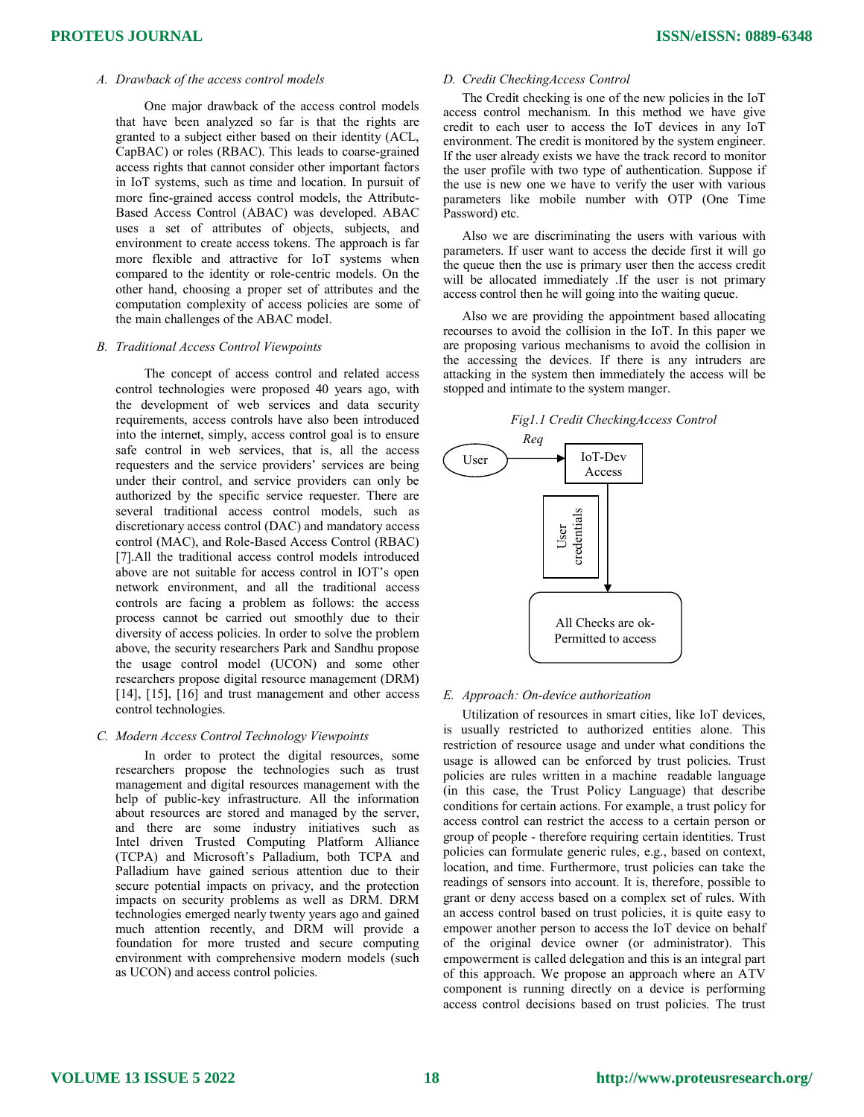## A. Drawback of the access control models

One major drawback of the access control models that have been analyzed so far is that the rights are granted to a subject either based on their identity (ACL, CapBAC) or roles (RBAC). This leads to coarse-grained access rights that cannot consider other important factors in IoT systems, such as time and location. In pursuit of more fine-grained access control models, the Attribute-Based Access Control (ABAC) was developed. ABAC uses a set of attributes of objects, subjects, and environment to create access tokens. The approach is far more flexible and attractive for IoT systems when compared to the identity or role-centric models. On the other hand, choosing a proper set of attributes and the computation complexity of access policies are some of the main challenges of the ABAC model.

#### B. Traditional Access Control Viewpoints

The concept of access control and related access control technologies were proposed 40 years ago, with the development of web services and data security requirements, access controls have also been introduced into the internet, simply, access control goal is to ensure safe control in web services, that is, all the access requesters and the service providers' services are being under their control, and service providers can only be authorized by the specific service requester. There are several traditional access control models, such as discretionary access control (DAC) and mandatory access control (MAC), and Role-Based Access Control (RBAC) [7].All the traditional access control models introduced above are not suitable for access control in IOT's open network environment, and all the traditional access controls are facing a problem as follows: the access process cannot be carried out smoothly due to their diversity of access policies. In order to solve the problem above, the security researchers Park and Sandhu propose the usage control model (UCON) and some other researchers propose digital resource management (DRM) [14], [15], [16] and trust management and other access control technologies.

#### C. Modern Access Control Technology Viewpoints

 In order to protect the digital resources, some researchers propose the technologies such as trust management and digital resources management with the help of public-key infrastructure. All the information about resources are stored and managed by the server, and there are some industry initiatives such as Intel driven Trusted Computing Platform Alliance (TCPA) and Microsoft's Palladium, both TCPA and Palladium have gained serious attention due to their secure potential impacts on privacy, and the protection impacts on security problems as well as DRM. DRM technologies emerged nearly twenty years ago and gained much attention recently, and DRM will provide a foundation for more trusted and secure computing environment with comprehensive modern models (such as UCON) and access control policies.

## D. Credit CheckingAccess Control

The Credit checking is one of the new policies in the IoT access control mechanism. In this method we have give credit to each user to access the IoT devices in any IoT environment. The credit is monitored by the system engineer. If the user already exists we have the track record to monitor the user profile with two type of authentication. Suppose if the use is new one we have to verify the user with various parameters like mobile number with OTP (One Time Password) etc.

Also we are discriminating the users with various with parameters. If user want to access the decide first it will go the queue then the use is primary user then the access credit will be allocated immediately .If the user is not primary access control then he will going into the waiting queue.

Also we are providing the appointment based allocating recourses to avoid the collision in the IoT. In this paper we are proposing various mechanisms to avoid the collision in the accessing the devices. If there is any intruders are attacking in the system then immediately the access will be stopped and intimate to the system manger.





## E. Approach: On-device authorization

Utilization of resources in smart cities, like IoT devices, is usually restricted to authorized entities alone. This restriction of resource usage and under what conditions the usage is allowed can be enforced by trust policies. Trust policies are rules written in a machine readable language (in this case, the Trust Policy Language) that describe conditions for certain actions. For example, a trust policy for access control can restrict the access to a certain person or group of people - therefore requiring certain identities. Trust policies can formulate generic rules, e.g., based on context, location, and time. Furthermore, trust policies can take the readings of sensors into account. It is, therefore, possible to grant or deny access based on a complex set of rules. With an access control based on trust policies, it is quite easy to empower another person to access the IoT device on behalf of the original device owner (or administrator). This empowerment is called delegation and this is an integral part of this approach. We propose an approach where an ATV component is running directly on a device is performing access control decisions based on trust policies. The trust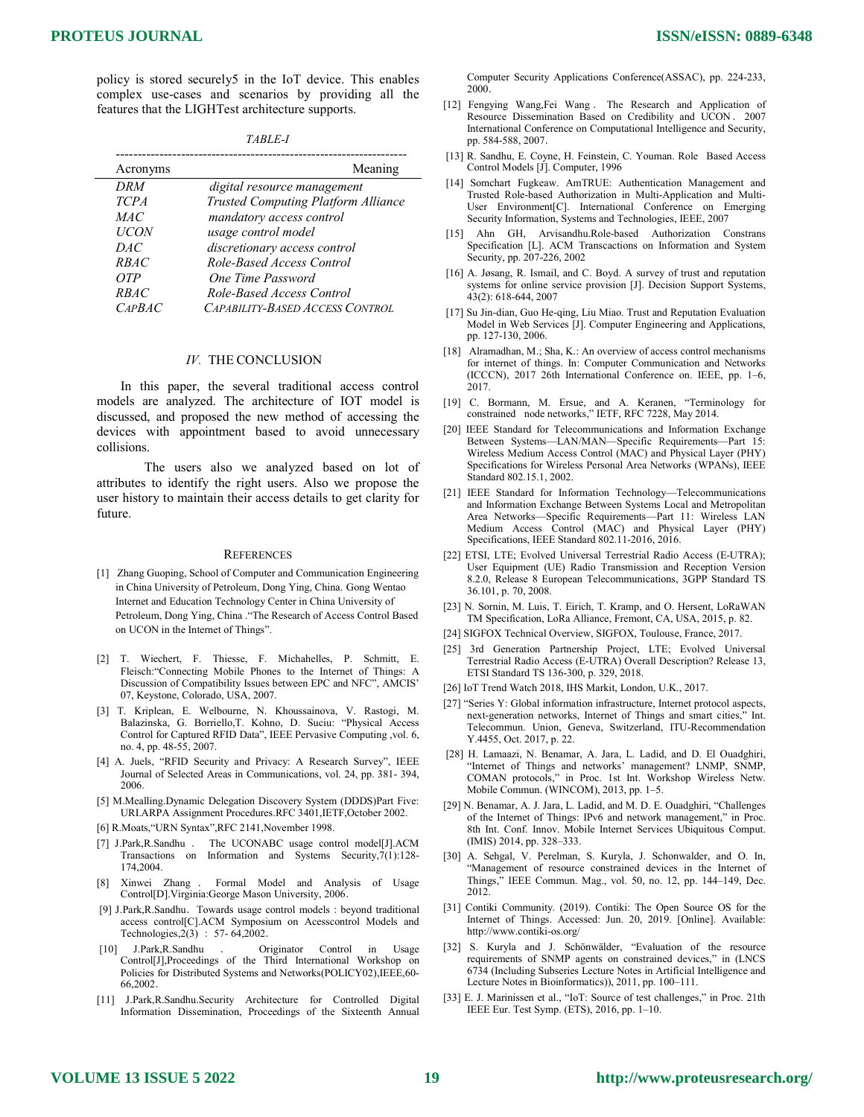policy is stored securely5 in the IoT device. This enables complex use-cases and scenarios by providing all the features that the LIGHTest architecture supports.

| <i>TABLE-</i> |
|---------------|
|---------------|

| Acronyms    | Meaning                                    |
|-------------|--------------------------------------------|
| DRM         | digital resource management                |
| <b>TCPA</b> | <b>Trusted Computing Platform Alliance</b> |
| MAC         | mandatory access control                   |
| <b>UCON</b> | usage control model                        |
| DAC.        | discretionary access control               |
| <b>RBAC</b> | Role-Based Access Control                  |
| OTP         | One Time Password                          |
| <b>RBAC</b> | Role-Based Access Control                  |
| CAPBAC      | CAPABILITY-BASED ACCESS CONTROL            |

#### IV. THE CONCLUSION

 In this paper, the several traditional access control models are analyzed. The architecture of IOT model is discussed, and proposed the new method of accessing the devices with appointment based to avoid unnecessary collisions.

The users also we analyzed based on lot of attributes to identify the right users. Also we propose the user history to maintain their access details to get clarity for future.

#### **REFERENCES**

- [1] Zhang Guoping, School of Computer and Communication Engineering in China University of Petroleum, Dong Ying, China. Gong Wentao Internet and Education Technology Center in China University of Petroleum, Dong Ying, China ."The Research of Access Control Based on UCON in the Internet of Things".
- [2] T. Wiechert, F. Thiesse, F. Michahelles, P. Schmitt, E. Fleisch:"Connecting Mobile Phones to the Internet of Things: A Discussion of Compatibility Issues between EPC and NFC", AMCIS' 07, Keystone, Colorado, USA, 2007.
- [3] T. Kriplean, E. Welbourne, N. Khoussainova, V. Rastogi, M. Balazinska, G. Borriello,T. Kohno, D. Suciu: "Physical Access Control for Captured RFID Data", IEEE Pervasive Computing ,vol. 6, no. 4, pp. 48-55, 2007.
- [4] A. Juels, "RFID Security and Privacy: A Research Survey", IEEE Journal of Selected Areas in Communications, vol. 24, pp. 381- 394, 2006.
- [5] M.Mealling.Dynamic Delegation Discovery System (DDDS)Part Five: URI.ARPA Assignment Procedures.RFC 3401,IETF,October 2002.
- [6] R.Moats,"URN Syntax",RFC 2141,November 1998.
- [7] J.Park,R.Sandhu . The UCONABC usage control model[J].ACM Transactions on Information and Systems Security,7(1):128- 174,2004.
- [8] Xinwei Zhang . Formal Model and Analysis of Usage Control[D].Virginia:George Mason University, 2006.
- [9] J.Park,R.Sandhu. Towards usage control models: beyond traditional access control[C].ACM Symposium on Acesscontrol Models and Technologies,2(3) : 57- 64,2002.
- J.Park,R.Sandhu . Originator Control in Usage Control[J],Proceedings of the Third International Workshop on Policies for Distributed Systems and Networks(POLICY02),IEEE,60- 66,2002.
- [11] J.Park,R.Sandhu.Security Architecture for Controlled Digital Information Dissemination, Proceedings of the Sixteenth Annual

**ISSN/eISSN: 0889-6348**

Computer Security Applications Conference(ASSAC), pp. 224-233, 2000.

- [12] Fengying Wang,Fei Wang . The Research and Application of Resource Dissemination Based on Credibility and UCON. 2007 International Conference on Computational Intelligence and Security, pp. 584-588, 2007.
- [13] R. Sandhu, E. Coyne, H. Feinstein, C. Youman. Role Based Access Control Models [J]. Computer, 1996
- [14] Somchart Fugkeaw. AmTRUE: Authentication Management and Trusted Role-based Authorization in Multi-Application and Multi-User Environment[C]. International Conference on Emerging Security Information, Systems and Technologies, IEEE, 2007
- [15] Ahn GH, Arvisandhu.Role-based Authorization Constrans Specification [L]. ACM Transcactions on Information and System Security, pp. 207-226, 2002
- [16] A. Jøsang, R. Ismail, and C. Boyd. A survey of trust and reputation systems for online service provision [J]. Decision Support Systems, 43(2): 618-644, 2007
- [17] Su Jin-dian, Guo He-qing, Liu Miao. Trust and Reputation Evaluation Model in Web Services [J]. Computer Engineering and Applications, pp. 127-130, 2006.
- [18] Alramadhan, M.; Sha, K.: An overview of access control mechanisms for internet of things. In: Computer Communication and Networks (ICCCN), 2017 26th International Conference on. IEEE, pp. 1–6, 2017.
- [19] C. Bormann, M. Ersue, and A. Keranen, "Terminology for constrained node networks," IETF, RFC 7228, May 2014.
- [20] IEEE Standard for Telecommunications and Information Exchange Between Systems—LAN/MAN—Specific Requirements—Part 15: Wireless Medium Access Control (MAC) and Physical Layer (PHY) Specifications for Wireless Personal Area Networks (WPANs), IEEE Standard 802.15.1, 2002.
- [21] IEEE Standard for Information Technology—Telecommunications and Information Exchange Between Systems Local and Metropolitan Area Networks—Specific Requirements—Part 11: Wireless LAN Medium Access Control (MAC) and Physical Layer (PHY) Specifications, IEEE Standard 802.11-2016, 2016.
- [22] ETSI, LTE; Evolved Universal Terrestrial Radio Access (E-UTRA); User Equipment (UE) Radio Transmission and Reception Version 8.2.0, Release 8 European Telecommunications, 3GPP Standard TS 36.101, p. 70, 2008.
- [23] N. Sornin, M. Luis, T. Eirich, T. Kramp, and O. Hersent, LoRaWAN TM Specification, LoRa Alliance, Fremont, CA, USA, 2015, p. 82.
- [24] SIGFOX Technical Overview, SIGFOX, Toulouse, France, 2017.
- [25] 3rd Generation Partnership Project, LTE; Evolved Universal Terrestrial Radio Access (E-UTRA) Overall Description? Release 13, ETSI Standard TS 136-300, p. 329, 2018.
- [26] IoT Trend Watch 2018, IHS Markit, London, U.K., 2017.
- [27] "Series Y: Global information infrastructure, Internet protocol aspects, next-generation networks, Internet of Things and smart cities," Int. Telecommun. Union, Geneva, Switzerland, ITU-Recommendation Y.4455, Oct. 2017, p. 22.
- [28] H. Lamaazi, N. Benamar, A. Jara, L. Ladid, and D. El Ouadghiri, "Internet of Things and networks' management? LNMP, SNMP, COMAN protocols," in Proc. 1st Int. Workshop Wireless Netw. Mobile Commun. (WINCOM), 2013, pp. 1–5.
- [29] N. Benamar, A. J. Jara, L. Ladid, and M. D. E. Ouadghiri, "Challenges of the Internet of Things: IPv6 and network management," in Proc. 8th Int. Conf. Innov. Mobile Internet Services Ubiquitous Comput. (IMIS) 2014, pp. 328–333.
- [30] A. Sehgal, V. Perelman, S. Kuryla, J. Schonwalder, and O. In, "Management of resource constrained devices in the Internet of Things," IEEE Commun. Mag., vol. 50, no. 12, pp. 144–149, Dec. 2012.
- [31] Contiki Community. (2019). Contiki: The Open Source OS for the Internet of Things. Accessed: Jun. 20, 2019. [Online]. Available: http://www.contiki-os.org/
- [32] S. Kuryla and J. Schönwälder, "Evaluation of the resource requirements of SNMP agents on constrained devices," in (LNCS 6734 (Including Subseries Lecture Notes in Artificial Intelligence and Lecture Notes in Bioinformatics)), 2011, pp. 100–111.
- [33] E. J. Marinissen et al., "IoT: Source of test challenges," in Proc. 21th IEEE Eur. Test Symp. (ETS), 2016, pp. 1–10.